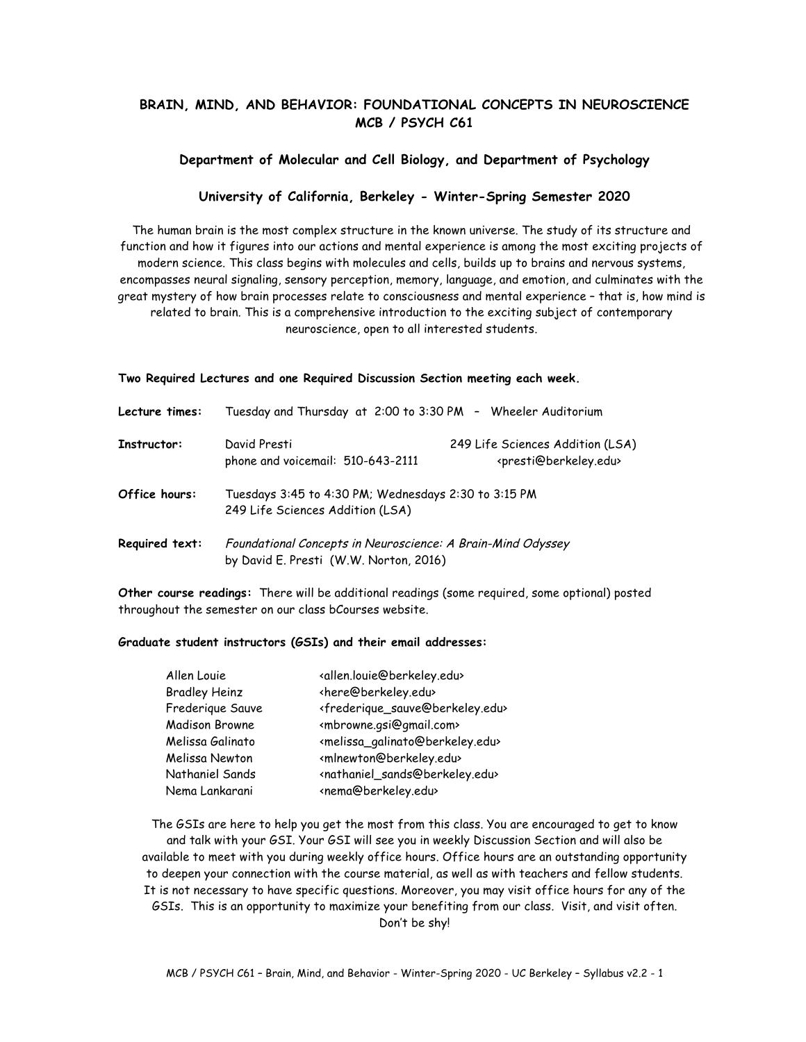# **BRAIN, MIND, AND BEHAVIOR: FOUNDATIONAL CONCEPTS IN NEUROSCIENCE MCB / PSYCH C61**

### **Department of Molecular and Cell Biology, and Department of Psychology**

### **University of California, Berkeley - Winter-Spring Semester 2020**

The human brain is the most complex structure in the known universe. The study of its structure and function and how it figures into our actions and mental experience is among the most exciting projects of modern science. This class begins with molecules and cells, builds up to brains and nervous systems, encompasses neural signaling, sensory perception, memory, language, and emotion, and culminates with the great mystery of how brain processes relate to consciousness and mental experience – that is, how mind is related to brain. This is a comprehensive introduction to the exciting subject of contemporary neuroscience, open to all interested students.

#### **Two Required Lectures and one Required Discussion Section meeting each week.**

| Lecture times: | Tuesday and Thursday at 2:00 to 3:30 PM - Wheeler Auditorium                             |                                                                                 |  |
|----------------|------------------------------------------------------------------------------------------|---------------------------------------------------------------------------------|--|
| Instructor:    | David Presti<br>phone and voicemail: 510-643-2111                                        | 249 Life Sciences Addition (LSA)<br><presti@berkeley.edu></presti@berkeley.edu> |  |
| Office hours:  | Tuesdays 3:45 to 4:30 PM; Wednesdays 2:30 to 3:15 PM<br>249 Life Sciences Addition (LSA) |                                                                                 |  |
| Required text: | Foundational Concepts in Neuroscience: A Brain-Mind Odyssey                              |                                                                                 |  |
|                | by David E. Presti (W.W. Norton, 2016)                                                   |                                                                                 |  |

**Other course readings:** There will be additional readings (some required, some optional) posted throughout the semester on our class bCourses website.

#### **Graduate student instructors (GSIs) and their email addresses:**

| Allen Louie          | <allen.louie@berkeley.edu></allen.louie@berkeley.edu>           |
|----------------------|-----------------------------------------------------------------|
| <b>Bradley Heinz</b> | <here@berkeley.edu></here@berkeley.edu>                         |
| Frederique Sauve     | <frederique_sauve@berkeley.edu></frederique_sauve@berkeley.edu> |
| Madison Browne       | <mbrowne.gsi@gmail.com></mbrowne.gsi@gmail.com>                 |
| Melissa Galinato     | <melissa_galinato@berkeley.edu></melissa_galinato@berkeley.edu> |
| Melissa Newton       | <mlnewton@berkeley.edu></mlnewton@berkeley.edu>                 |
| Nathaniel Sands      | <nathaniel_sands@berkeley.edu></nathaniel_sands@berkeley.edu>   |
| Nema Lankarani       | <nema@berkeley.edu></nema@berkeley.edu>                         |
|                      |                                                                 |

The GSIs are here to help you get the most from this class. You are encouraged to get to know and talk with your GSI. Your GSI will see you in weekly Discussion Section and will also be available to meet with you during weekly office hours. Office hours are an outstanding opportunity to deepen your connection with the course material, as well as with teachers and fellow students. It is not necessary to have specific questions. Moreover, you may visit office hours for any of the GSIs. This is an opportunity to maximize your benefiting from our class. Visit, and visit often. Don't be shy!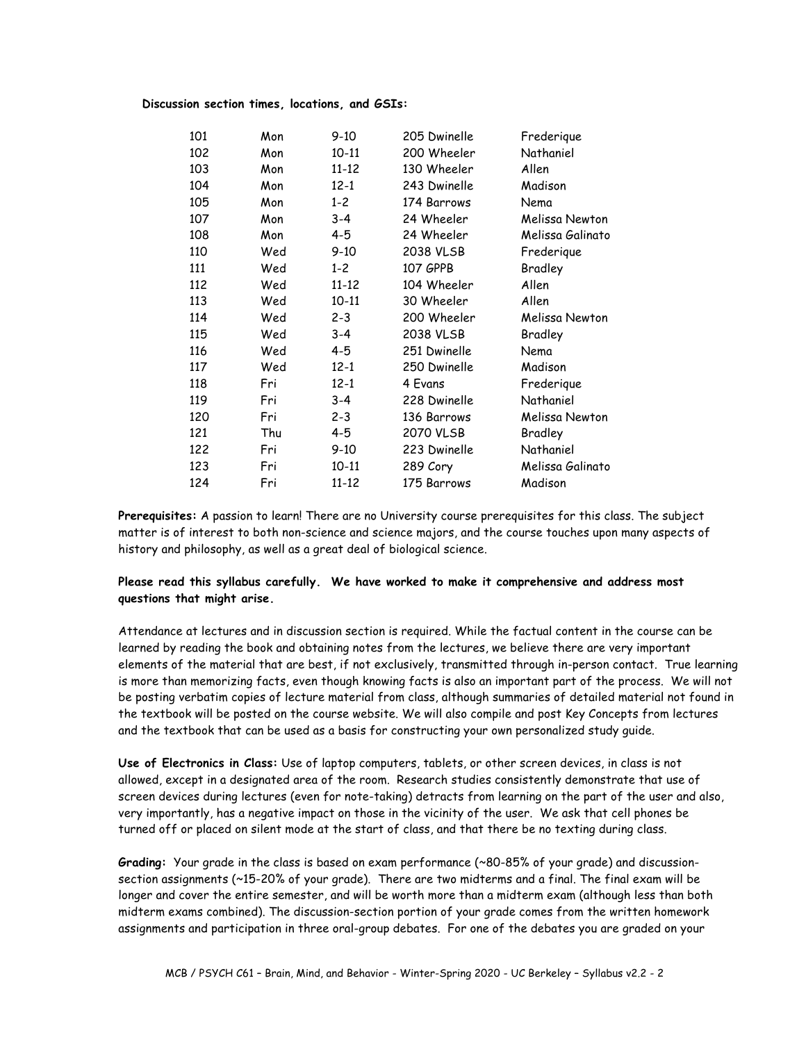### **Discussion section times, locations, and GSIs:**

| 101 | Mon | $9-10$    | 205 Dwinelle | Frederique       |
|-----|-----|-----------|--------------|------------------|
| 102 | Mon | $10 - 11$ | 200 Wheeler  | Nathaniel        |
| 103 | Mon | $11 - 12$ | 130 Wheeler  | Allen            |
| 104 | Mon | $12 - 1$  | 243 Dwinelle | Madison          |
| 105 | Mon | $1 - 2$   | 174 Barrows  | Nema             |
| 107 | Mon | $3 - 4$   | 24 Wheeler   | Melissa Newton   |
| 108 | Mon | $4 - 5$   | 24 Wheeler   | Melissa Galinato |
| 110 | Wed | $9 - 10$  | 2038 VLSB    | Frederique       |
| 111 | Wed | $1 - 2$   | 107 GPPB     | Bradley          |
| 112 | Wed | $11 - 12$ | 104 Wheeler  | Allen            |
| 113 | Wed | $10 - 11$ | 30 Wheeler   | Allen            |
| 114 | Wed | $2 - 3$   | 200 Wheeler  | Melissa Newton   |
| 115 | Wed | $3 - 4$   | 2038 VLSB    | Bradley          |
| 116 | Wed | 4-5       | 251 Dwinelle | Nema             |
| 117 | Wed | $12 - 1$  | 250 Dwinelle | Madison          |
| 118 | Fri | $12 - 1$  | 4 Evans      | Frederique       |
| 119 | Fri | $3 - 4$   | 228 Dwinelle | Nathaniel        |
| 120 | Fri | $2 - 3$   | 136 Barrows  | Melissa Newton   |
| 121 | Thu | $4 - 5$   | 2070 VLSB    | Bradley          |
| 122 | Fri | $9-10$    | 223 Dwinelle | Nathaniel        |
| 123 | Fri | $10 - 11$ | 289 Cory     | Melissa Galinato |
| 124 | Fri | $11 - 12$ | 175 Barrows  | Madison          |

**Prerequisites:** A passion to learn! There are no University course prerequisites for this class. The subject matter is of interest to both non-science and science majors, and the course touches upon many aspects of history and philosophy, as well as a great deal of biological science.

## **Please read this syllabus carefully. We have worked to make it comprehensive and address most questions that might arise.**

Attendance at lectures and in discussion section is required. While the factual content in the course can be learned by reading the book and obtaining notes from the lectures, we believe there are very important elements of the material that are best, if not exclusively, transmitted through in-person contact. True learning is more than memorizing facts, even though knowing facts is also an important part of the process. We will not be posting verbatim copies of lecture material from class, although summaries of detailed material not found in the textbook will be posted on the course website. We will also compile and post Key Concepts from lectures and the textbook that can be used as a basis for constructing your own personalized study guide.

**Use of Electronics in Class:** Use of laptop computers, tablets, or other screen devices, in class is not allowed, except in a designated area of the room. Research studies consistently demonstrate that use of screen devices during lectures (even for note-taking) detracts from learning on the part of the user and also, very importantly, has a negative impact on those in the vicinity of the user. We ask that cell phones be turned off or placed on silent mode at the start of class, and that there be no texting during class.

**Grading:** Your grade in the class is based on exam performance (~80-85% of your grade) and discussionsection assignments (~15-20% of your grade). There are two midterms and a final. The final exam will be longer and cover the entire semester, and will be worth more than a midterm exam (although less than both midterm exams combined). The discussion-section portion of your grade comes from the written homework assignments and participation in three oral-group debates. For one of the debates you are graded on your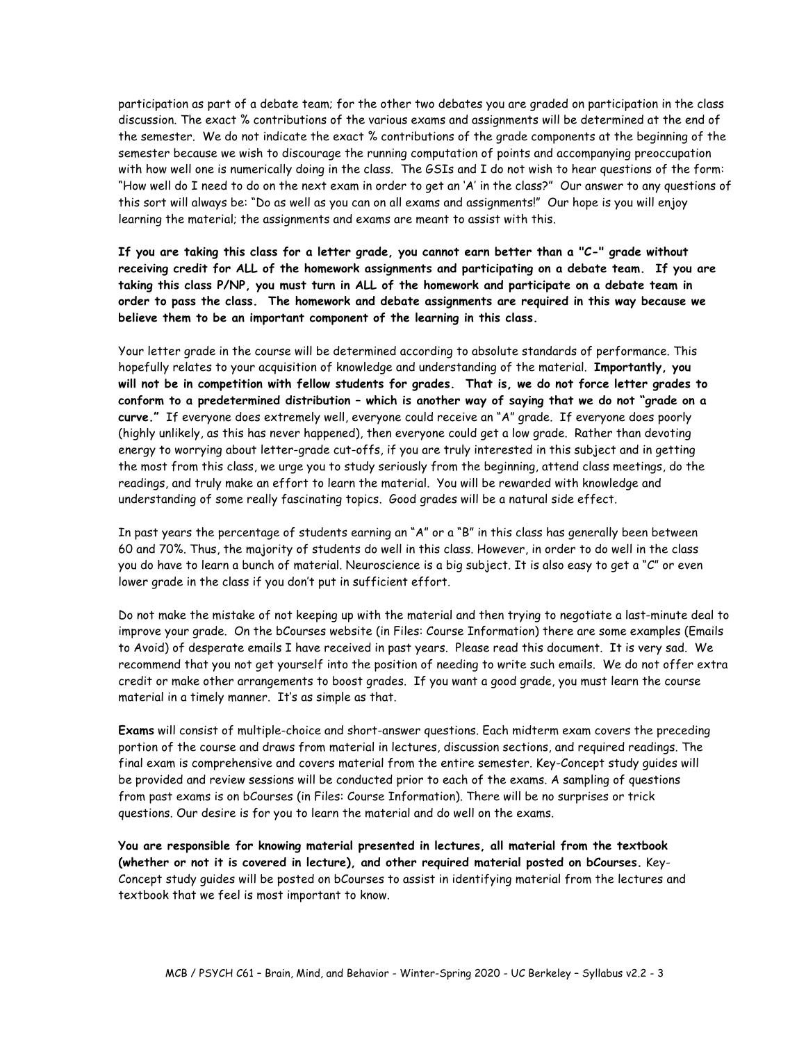participation as part of a debate team; for the other two debates you are graded on participation in the class discussion. The exact % contributions of the various exams and assignments will be determined at the end of the semester. We do not indicate the exact % contributions of the grade components at the beginning of the semester because we wish to discourage the running computation of points and accompanying preoccupation with how well one is numerically doing in the class. The GSIs and I do not wish to hear questions of the form: "How well do I need to do on the next exam in order to get an 'A' in the class?" Our answer to any questions of this sort will always be: "Do as well as you can on all exams and assignments!" Our hope is you will enjoy learning the material; the assignments and exams are meant to assist with this.

**If you are taking this class for a letter grade, you cannot earn better than a "C-" grade without receiving credit for ALL of the homework assignments and participating on a debate team. If you are taking this class P/NP, you must turn in ALL of the homework and participate on a debate team in order to pass the class. The homework and debate assignments are required in this way because we believe them to be an important component of the learning in this class.**

Your letter grade in the course will be determined according to absolute standards of performance. This hopefully relates to your acquisition of knowledge and understanding of the material. **Importantly, you will not be in competition with fellow students for grades. That is, we do not force letter grades to conform to a predetermined distribution – which is another way of saying that we do not "grade on a curve."** If everyone does extremely well, everyone could receive an "A" grade. If everyone does poorly (highly unlikely, as this has never happened), then everyone could get a low grade. Rather than devoting energy to worrying about letter-grade cut-offs, if you are truly interested in this subject and in getting the most from this class, we urge you to study seriously from the beginning, attend class meetings, do the readings, and truly make an effort to learn the material. You will be rewarded with knowledge and understanding of some really fascinating topics. Good grades will be a natural side effect.

In past years the percentage of students earning an "A" or a "B" in this class has generally been between 60 and 70%. Thus, the majority of students do well in this class. However, in order to do well in the class you do have to learn a bunch of material. Neuroscience is a big subject. It is also easy to get a "C" or even lower grade in the class if you don't put in sufficient effort.

Do not make the mistake of not keeping up with the material and then trying to negotiate a last-minute deal to improve your grade. On the bCourses website (in Files: Course Information) there are some examples (Emails to Avoid) of desperate emails I have received in past years. Please read this document. It is very sad. We recommend that you not get yourself into the position of needing to write such emails. We do not offer extra credit or make other arrangements to boost grades. If you want a good grade, you must learn the course material in a timely manner. It's as simple as that.

**Exams** will consist of multiple-choice and short-answer questions. Each midterm exam covers the preceding portion of the course and draws from material in lectures, discussion sections, and required readings. The final exam is comprehensive and covers material from the entire semester. Key-Concept study guides will be provided and review sessions will be conducted prior to each of the exams. A sampling of questions from past exams is on bCourses (in Files: Course Information). There will be no surprises or trick questions. Our desire is for you to learn the material and do well on the exams.

**You are responsible for knowing material presented in lectures, all material from the textbook (whether or not it is covered in lecture), and other required material posted on bCourses.** Key-Concept study guides will be posted on bCourses to assist in identifying material from the lectures and textbook that we feel is most important to know.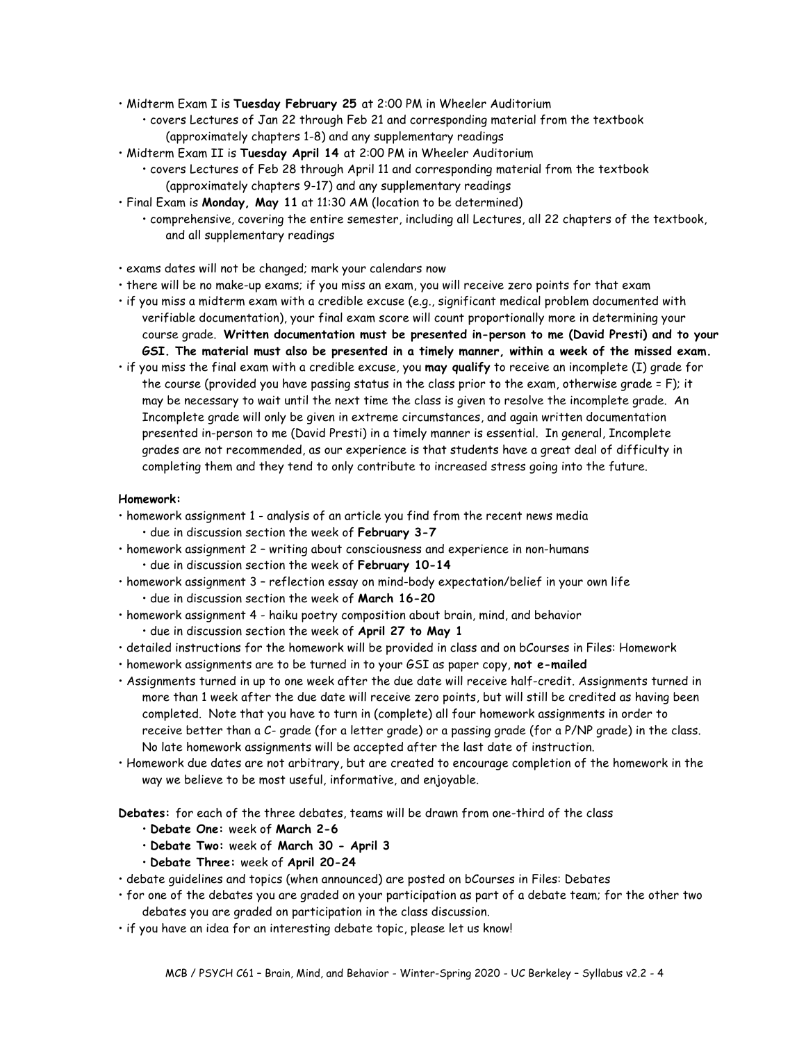- Midterm Exam I is **Tuesday February 25** at 2:00 PM in Wheeler Auditorium
	- covers Lectures of Jan 22 through Feb 21 and corresponding material from the textbook (approximately chapters 1-8) and any supplementary readings
- Midterm Exam II is **Tuesday April 14** at 2:00 PM in Wheeler Auditorium
	- covers Lectures of Feb 28 through April 11 and corresponding material from the textbook (approximately chapters 9-17) and any supplementary readings
- Final Exam is **Monday, May 11** at 11:30 AM (location to be determined)
	- comprehensive, covering the entire semester, including all Lectures, all 22 chapters of the textbook, and all supplementary readings
- exams dates will not be changed; mark your calendars now
- there will be no make-up exams; if you miss an exam, you will receive zero points for that exam
- if you miss a midterm exam with a credible excuse (e.g., significant medical problem documented with verifiable documentation), your final exam score will count proportionally more in determining your course grade. **Written documentation must be presented in-person to me (David Presti) and to your GSI. The material must also be presented in a timely manner, within a week of the missed exam.**
- if you miss the final exam with a credible excuse, you **may qualify** to receive an incomplete (I) grade for the course (provided you have passing status in the class prior to the exam, otherwise grade = F); it may be necessary to wait until the next time the class is given to resolve the incomplete grade. An Incomplete grade will only be given in extreme circumstances, and again written documentation presented in-person to me (David Presti) in a timely manner is essential. In general, Incomplete grades are not recommended, as our experience is that students have a great deal of difficulty in completing them and they tend to only contribute to increased stress going into the future.

### **Homework:**

- homework assignment 1 analysis of an article you find from the recent news media
	- due in discussion section the week of **February 3-7**
- homework assignment 2 writing about consciousness and experience in non-humans • due in discussion section the week of **February 10-14**
- homework assignment 3 reflection essay on mind-body expectation/belief in your own life • due in discussion section the week of **March 16-20**
- homework assignment 4 haiku poetry composition about brain, mind, and behavior • due in discussion section the week of **April 27 to May 1**
- detailed instructions for the homework will be provided in class and on bCourses in Files: Homework
- homework assignments are to be turned in to your GSI as paper copy, **not e-mailed**
- Assignments turned in up to one week after the due date will receive half-credit. Assignments turned in more than 1 week after the due date will receive zero points, but will still be credited as having been completed. Note that you have to turn in (complete) all four homework assignments in order to receive better than a C- grade (for a letter grade) or a passing grade (for a P/NP grade) in the class. No late homework assignments will be accepted after the last date of instruction.
- Homework due dates are not arbitrary, but are created to encourage completion of the homework in the way we believe to be most useful, informative, and enjoyable.

**Debates:** for each of the three debates, teams will be drawn from one-third of the class

- **Debate One:** week of **March 2-6**
- **Debate Two:** week of **March 30 - April 3**
- **Debate Three:** week of **April 20-24**
- debate guidelines and topics (when announced) are posted on bCourses in Files: Debates
- for one of the debates you are graded on your participation as part of a debate team; for the other two debates you are graded on participation in the class discussion.
- if you have an idea for an interesting debate topic, please let us know!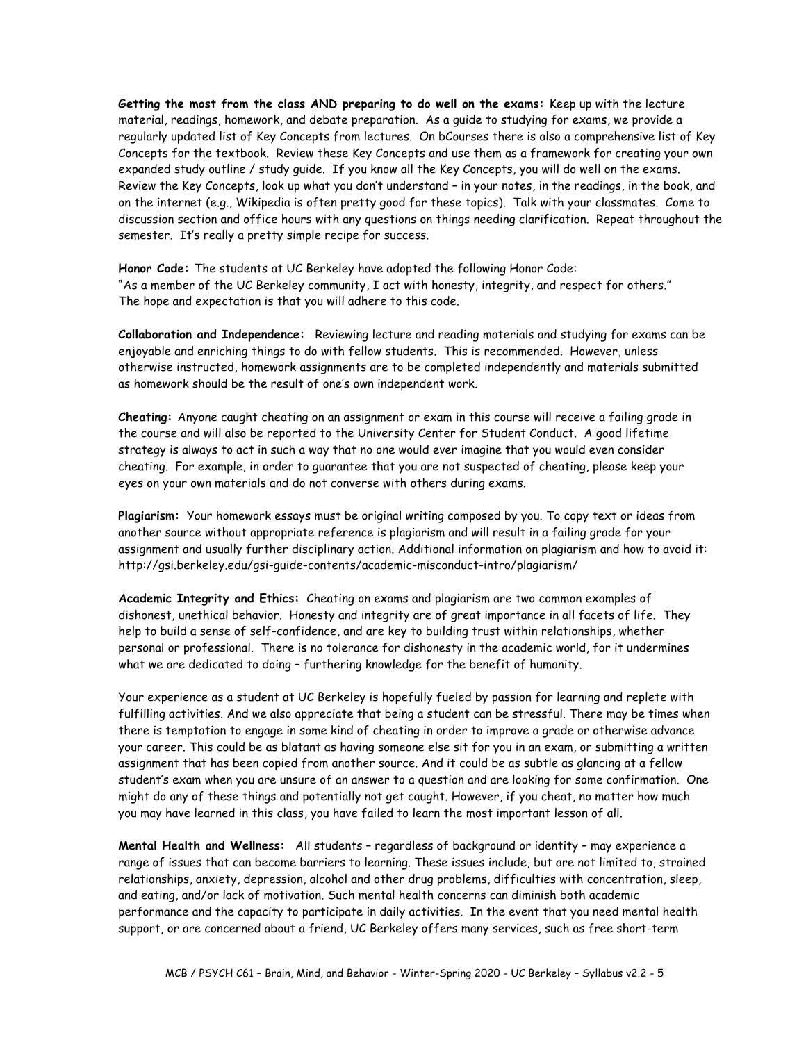**Getting the most from the class AND preparing to do well on the exams:** Keep up with the lecture material, readings, homework, and debate preparation. As a guide to studying for exams, we provide a regularly updated list of Key Concepts from lectures. On bCourses there is also a comprehensive list of Key Concepts for the textbook. Review these Key Concepts and use them as a framework for creating your own expanded study outline / study guide. If you know all the Key Concepts, you will do well on the exams. Review the Key Concepts, look up what you don't understand – in your notes, in the readings, in the book, and on the internet (e.g., Wikipedia is often pretty good for these topics). Talk with your classmates. Come to discussion section and office hours with any questions on things needing clarification. Repeat throughout the semester. It's really a pretty simple recipe for success.

**Honor Code:** The students at UC Berkeley have adopted the following Honor Code: "As a member of the UC Berkeley community, I act with honesty, integrity, and respect for others." The hope and expectation is that you will adhere to this code.

**Collaboration and Independence:** Reviewing lecture and reading materials and studying for exams can be enjoyable and enriching things to do with fellow students. This is recommended. However, unless otherwise instructed, homework assignments are to be completed independently and materials submitted as homework should be the result of one's own independent work.

**Cheating:** Anyone caught cheating on an assignment or exam in this course will receive a failing grade in the course and will also be reported to the University Center for Student Conduct. A good lifetime strategy is always to act in such a way that no one would ever imagine that you would even consider cheating. For example, in order to guarantee that you are not suspected of cheating, please keep your eyes on your own materials and do not converse with others during exams.

**Plagiarism:** Your homework essays must be original writing composed by you. To copy text or ideas from another source without appropriate reference is plagiarism and will result in a failing grade for your assignment and usually further disciplinary action. Additional information on plagiarism and how to avoid it: http://gsi.berkeley.edu/gsi-guide-contents/academic-misconduct-intro/plagiarism/

**Academic Integrity and Ethics:** Cheating on exams and plagiarism are two common examples of dishonest, unethical behavior. Honesty and integrity are of great importance in all facets of life. They help to build a sense of self-confidence, and are key to building trust within relationships, whether personal or professional. There is no tolerance for dishonesty in the academic world, for it undermines what we are dedicated to doing – furthering knowledge for the benefit of humanity.

Your experience as a student at UC Berkeley is hopefully fueled by passion for learning and replete with fulfilling activities. And we also appreciate that being a student can be stressful. There may be times when there is temptation to engage in some kind of cheating in order to improve a grade or otherwise advance your career. This could be as blatant as having someone else sit for you in an exam, or submitting a written assignment that has been copied from another source. And it could be as subtle as glancing at a fellow student's exam when you are unsure of an answer to a question and are looking for some confirmation. One might do any of these things and potentially not get caught. However, if you cheat, no matter how much you may have learned in this class, you have failed to learn the most important lesson of all.

**Mental Health and Wellness:** All students – regardless of background or identity – may experience a range of issues that can become barriers to learning. These issues include, but are not limited to, strained relationships, anxiety, depression, alcohol and other drug problems, difficulties with concentration, sleep, and eating, and/or lack of motivation. Such mental health concerns can diminish both academic performance and the capacity to participate in daily activities. In the event that you need mental health support, or are concerned about a friend, UC Berkeley offers many services, such as free short-term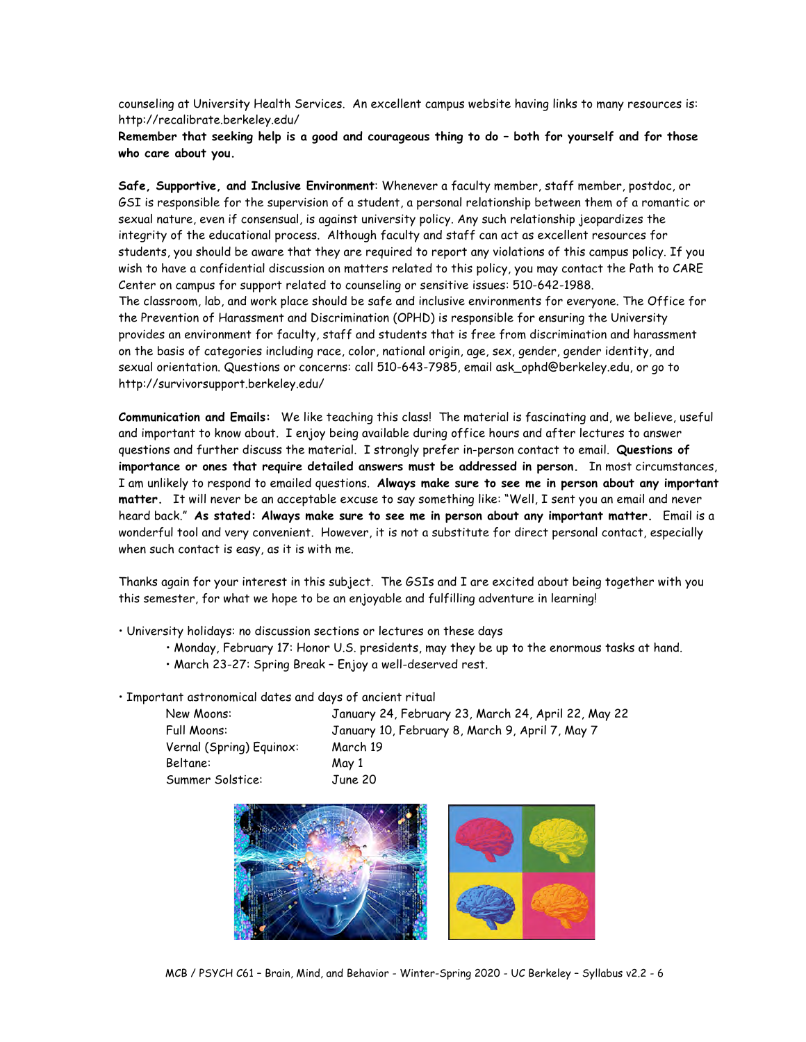counseling at University Health Services. An excellent campus website having links to many resources is: http://recalibrate.berkeley.edu/

**Remember that seeking help is a good and courageous thing to do – both for yourself and for those who care about you.**

**Safe, Supportive, and Inclusive Environment**: Whenever a faculty member, staff member, postdoc, or GSI is responsible for the supervision of a student, a personal relationship between them of a romantic or sexual nature, even if consensual, is against university policy. Any such relationship jeopardizes the integrity of the educational process. Although faculty and staff can act as excellent resources for students, you should be aware that they are required to report any violations of this campus policy. If you wish to have a confidential discussion on matters related to this policy, you may contact the Path to CARE Center on campus for support related to counseling or sensitive issues: 510-642-1988. The classroom, lab, and work place should be safe and inclusive environments for everyone. The Office for the Prevention of Harassment and Discrimination (OPHD) is responsible for ensuring the University provides an environment for faculty, staff and students that is free from discrimination and harassment on the basis of categories including race, color, national origin, age, sex, gender, gender identity, and sexual orientation. Questions or concerns: call 510-643-7985, email ask\_ophd@berkeley.edu, or go to http://survivorsupport.berkeley.edu/

**Communication and Emails:** We like teaching this class! The material is fascinating and, we believe, useful and important to know about. I enjoy being available during office hours and after lectures to answer questions and further discuss the material. I strongly prefer in-person contact to email. **Questions of importance or ones that require detailed answers must be addressed in person.** In most circumstances, I am unlikely to respond to emailed questions. **Always make sure to see me in person about any important matter.** It will never be an acceptable excuse to say something like: "Well, I sent you an email and never heard back." **As stated: Always make sure to see me in person about any important matter.** Email is a wonderful tool and very convenient. However, it is not a substitute for direct personal contact, especially when such contact is easy, as it is with me.

Thanks again for your interest in this subject. The GSIs and I are excited about being together with you this semester, for what we hope to be an enjoyable and fulfilling adventure in learning!

• University holidays: no discussion sections or lectures on these days

- Monday, February 17: Honor U.S. presidents, may they be up to the enormous tasks at hand.
- March 23-27: Spring Break Enjoy a well-deserved rest.

• Important astronomical dates and days of ancient ritual

| January 24, February 23, March 24, April 22, May 22 |
|-----------------------------------------------------|
| January 10, February 8, March 9, April 7, May 7     |
| March 19                                            |
| May 1                                               |
| June 20                                             |
|                                                     |